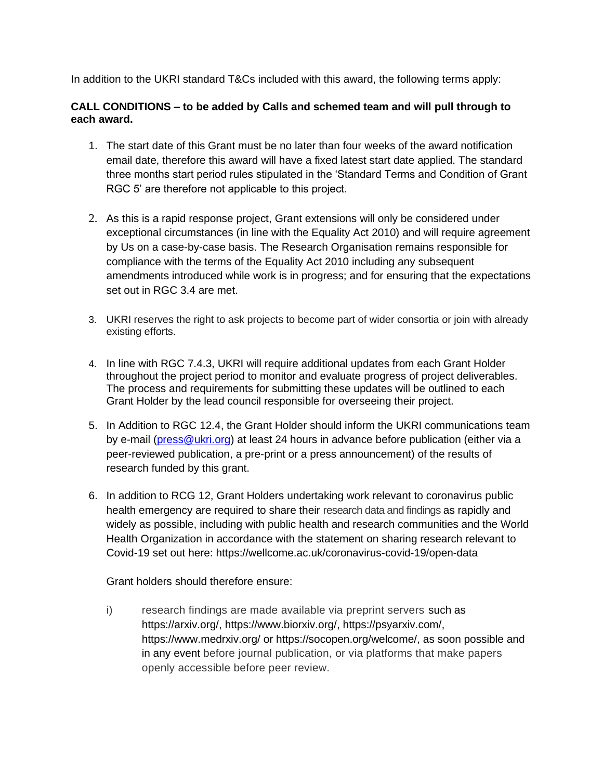In addition to the UKRI standard T&Cs included with this award, the following terms apply:

## **CALL CONDITIONS – to be added by Calls and schemed team and will pull through to each award.**

- 1. The start date of this Grant must be no later than four weeks of the award notification email date, therefore this award will have a fixed latest start date applied. The standard three months start period rules stipulated in the 'Standard Terms and Condition of Grant RGC 5' are therefore not applicable to this project.
- 2. As this is a rapid response project, Grant extensions will only be considered under exceptional circumstances (in line with the Equality Act 2010) and will require agreement by Us on a case-by-case basis. The Research Organisation remains responsible for compliance with the terms of the Equality Act 2010 including any subsequent amendments introduced while work is in progress; and for ensuring that the expectations set out in RGC 3.4 are met.
- 3. UKRI reserves the right to ask projects to become part of wider consortia or join with already existing efforts.
- 4. In line with RGC 7.4.3, UKRI will require additional updates from each Grant Holder throughout the project period to monitor and evaluate progress of project deliverables. The process and requirements for submitting these updates will be outlined to each Grant Holder by the lead council responsible for overseeing their project.
- 5. In Addition to RGC 12.4, the Grant Holder should inform the UKRI communications team by e-mail [\(press@ukri.org\)](mailto:press@ukri.org) at least 24 hours in advance before publication (either via a peer-reviewed publication, a pre-print or a press announcement) of the results of research funded by this grant.
- 6. In addition to RCG 12, Grant Holders undertaking work relevant to coronavirus public health emergency are required to share their research data and findings as rapidly and widely as possible, including with public health and research communities and the World Health Organization in accordance with the statement on sharing research relevant to Covid-19 set out here: https://wellcome.ac.uk/coronavirus-covid-19/open-data

Grant holders should therefore ensure:

i) research findings are made available via preprint servers such as https://arxiv.org/, https://www.biorxiv.org/, https://psyarxiv.com/, https://www.medrxiv.org/ or https://socopen.org/welcome/, as soon possible and in any event before journal publication, or via platforms that make papers openly accessible before peer review.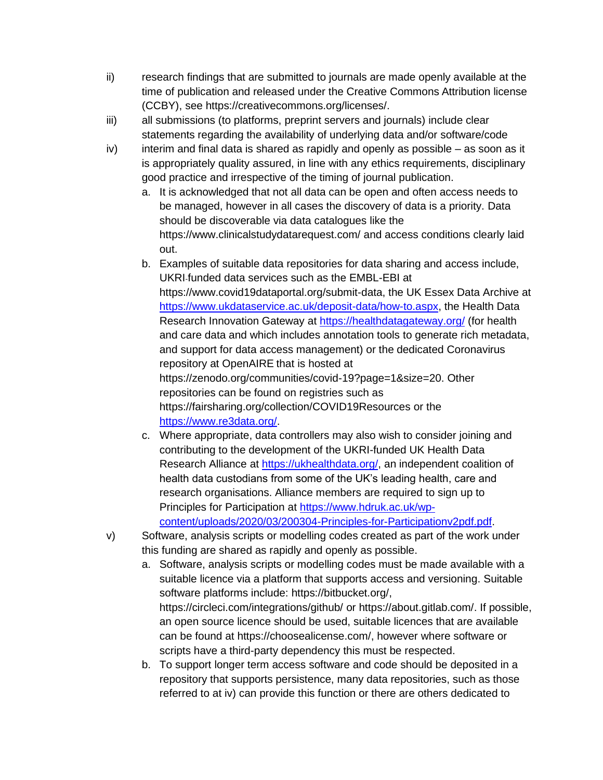- ii) research findings that are submitted to journals are made openly available at the time of publication and released under the Creative Commons Attribution license (CCBY), see https://creativecommons.org/licenses/.
- iii) all submissions (to platforms, preprint servers and journals) include clear statements regarding the availability of underlying data and/or software/code
- iv) interim and final data is shared as rapidly and openly as possible as soon as it is appropriately quality assured, in line with any ethics requirements, disciplinary good practice and irrespective of the timing of journal publication.
	- a. It is acknowledged that not all data can be open and often access needs to be managed, however in all cases the discovery of data is a priority. Data should be discoverable via data catalogues like the https://www.clinicalstudydatarequest.com/ and access conditions clearly laid out.
	- b. Examples of suitable data repositories for data sharing and access include, UKRI-funded data services such as the EMBL-EBI at https://www.covid19dataportal.org/submit-data, the UK Essex Data Archive at [https://www.ukdataservice.ac.uk/deposit-data/how-to.aspx,](https://www.ukdataservice.ac.uk/deposit-data/how-to.aspx) the Health Data Research Innovation Gateway at <https://healthdatagateway.org/> (for health and care data and which includes annotation tools to generate rich metadata, and support for data access management) or the dedicated Coronavirus repository at OpenAIRE that is hosted at https://zenodo.org/communities/covid-19?page=1&size=20. Other repositories can be found on registries such as https://fairsharing.org/collection/COVID19Resources or the [https://www.re3data.org/.](https://www.re3data.org/)
	- c. Where appropriate, data controllers may also wish to consider joining and contributing to the development of the UKRI-funded UK Health Data Research Alliance at [https://ukhealthdata.org/,](https://ukhealthdata.org/) an independent coalition of health data custodians from some of the UK's leading health, care and research organisations. Alliance members are required to sign up to Principles for Participation at [https://www.hdruk.ac.uk/wp](https://www.hdruk.ac.uk/wp-content/uploads/2020/03/200304-Principles-for-Participationv2pdf.pdf)[content/uploads/2020/03/200304-Principles-for-Participationv2pdf.pdf.](https://www.hdruk.ac.uk/wp-content/uploads/2020/03/200304-Principles-for-Participationv2pdf.pdf)
- v) Software, analysis scripts or modelling codes created as part of the work under this funding are shared as rapidly and openly as possible.
	- a. Software, analysis scripts or modelling codes must be made available with a suitable licence via a platform that supports access and versioning. Suitable software platforms include: https://bitbucket.org/, https://circleci.com/integrations/github/ or https://about.gitlab.com/. If possible, an open source licence should be used, suitable licences that are available can be found at https://choosealicense.com/, however where software or scripts have a third-party dependency this must be respected.
	- b. To support longer term access software and code should be deposited in a repository that supports persistence, many data repositories, such as those referred to at iv) can provide this function or there are others dedicated to